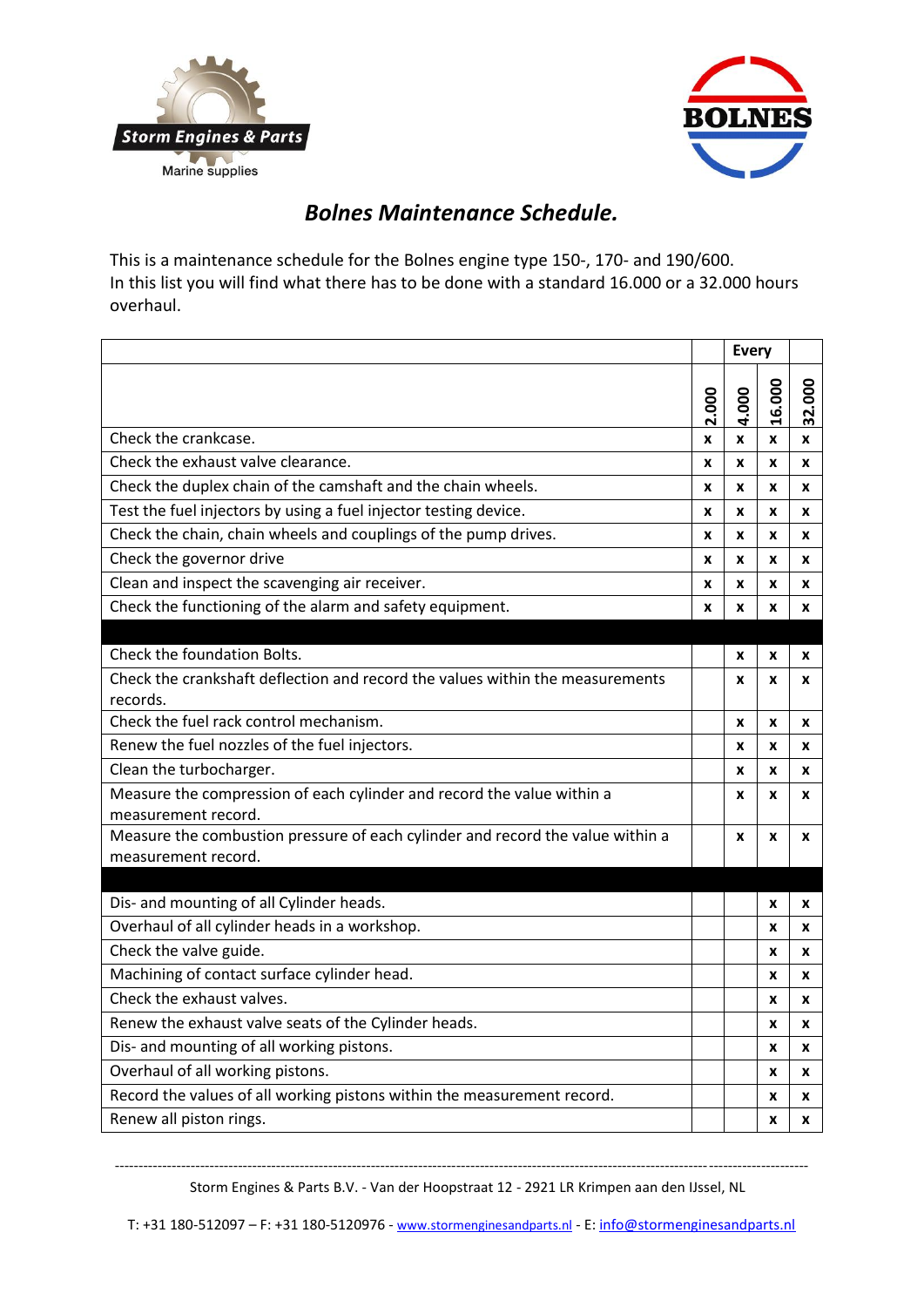



## *Bolnes Maintenance Schedule.*

This is a maintenance schedule for the Bolnes engine type 150-, 170- and 190/600. In this list you will find what there has to be done with a standard 16.000 or a 32.000 hours overhaul.

|                                                                                                       |       | <b>Every</b> |       |        |
|-------------------------------------------------------------------------------------------------------|-------|--------------|-------|--------|
|                                                                                                       | 2.000 | 4.000        | 6.000 | 32.000 |
| Check the crankcase.                                                                                  | x     | X            | X     | X      |
| Check the exhaust valve clearance.                                                                    | X     | X            | X     | X      |
| Check the duplex chain of the camshaft and the chain wheels.                                          | X     | X            | X     | X      |
| Test the fuel injectors by using a fuel injector testing device.                                      | x     | X            | X     | x      |
| Check the chain, chain wheels and couplings of the pump drives.                                       | X     | X            | X     | x      |
| Check the governor drive                                                                              | X     | X            | x     | x      |
| Clean and inspect the scavenging air receiver.                                                        | X     | X            | X     | X      |
| Check the functioning of the alarm and safety equipment.                                              | x     | X            | X     | x      |
|                                                                                                       |       |              |       |        |
| Check the foundation Bolts.                                                                           |       | X            | x     | X      |
| Check the crankshaft deflection and record the values within the measurements                         |       | X            | X     | X      |
| records.                                                                                              |       |              |       |        |
| Check the fuel rack control mechanism.                                                                |       | X            | X     | x      |
| Renew the fuel nozzles of the fuel injectors.                                                         |       | X            | X     | x      |
| Clean the turbocharger.                                                                               |       | X            | X     | x      |
| Measure the compression of each cylinder and record the value within a<br>measurement record.         |       | x            | x     | x      |
| Measure the combustion pressure of each cylinder and record the value within a<br>measurement record. |       | X            | X     | x      |
|                                                                                                       |       |              |       |        |
| Dis- and mounting of all Cylinder heads.                                                              |       |              | X     | x      |
| Overhaul of all cylinder heads in a workshop.                                                         |       |              | x     | x      |
| Check the valve guide.                                                                                |       |              | x     | x      |
| Machining of contact surface cylinder head.                                                           |       |              | x     | x      |
| Check the exhaust valves.                                                                             |       |              | x     | x      |
| Renew the exhaust valve seats of the Cylinder heads.                                                  |       |              | x     | x      |
| Dis- and mounting of all working pistons.                                                             |       |              | x     | x      |
| Overhaul of all working pistons.                                                                      |       |              | X     | X      |
| Record the values of all working pistons within the measurement record.                               |       |              | X     | X      |
| Renew all piston rings.                                                                               |       |              | X     | x      |

-------------------------------------------------------------------------------------------------------------------------------------------------- Storm Engines & Parts B.V. - Van der Hoopstraat 12 - 2921 LR Krimpen aan den IJssel, NL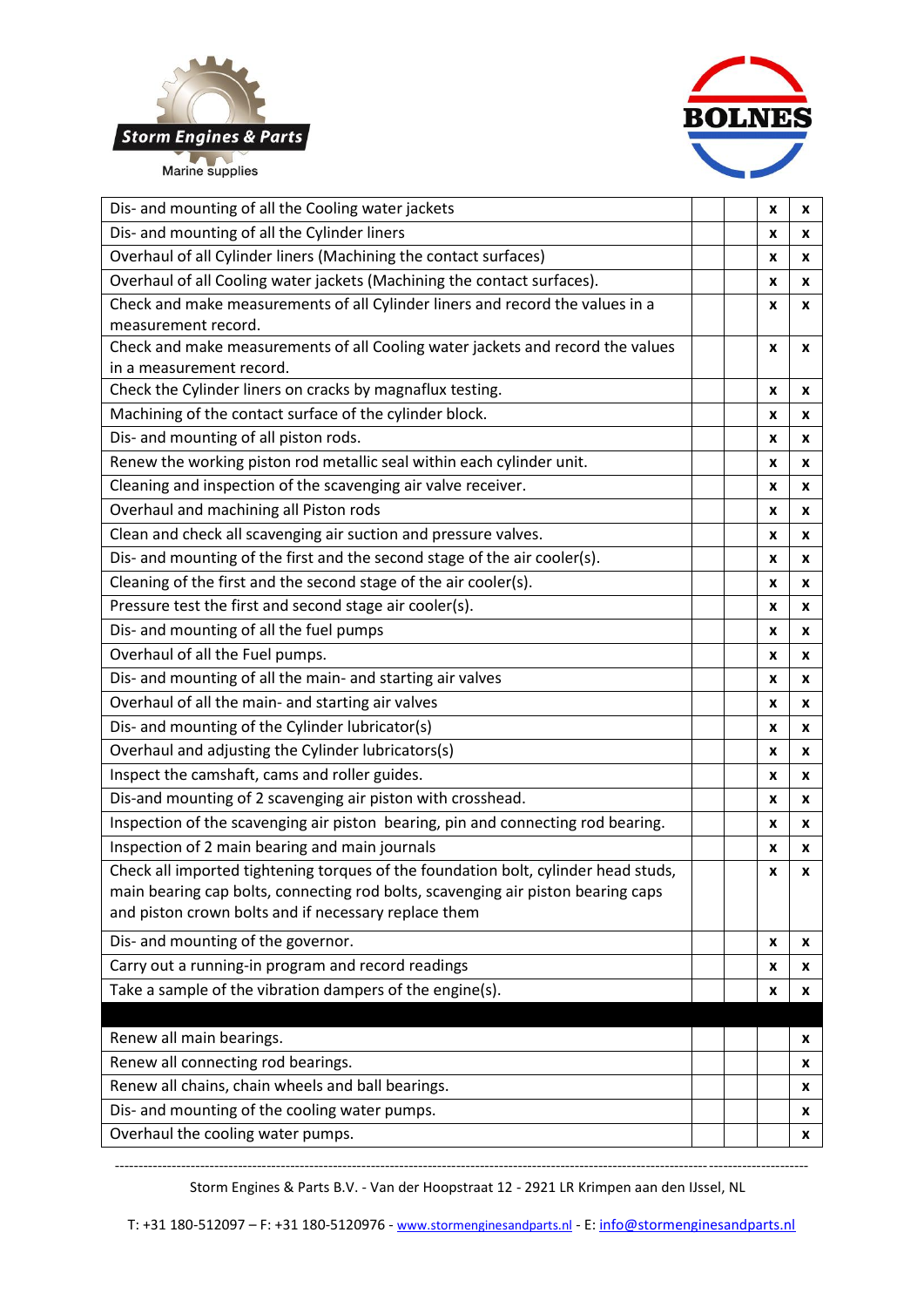



| Dis- and mounting of all the Cylinder liners<br>x<br>x<br>Overhaul of all Cylinder liners (Machining the contact surfaces)<br>x<br>x<br>Overhaul of all Cooling water jackets (Machining the contact surfaces).<br>x<br>X<br>Check and make measurements of all Cylinder liners and record the values in a<br>x<br>x<br>measurement record.<br>Check and make measurements of all Cooling water jackets and record the values<br>x<br>x<br>in a measurement record.<br>Check the Cylinder liners on cracks by magnaflux testing.<br>x<br>X<br>Machining of the contact surface of the cylinder block.<br>x<br>x<br>Dis- and mounting of all piston rods.<br>x<br>x<br>Renew the working piston rod metallic seal within each cylinder unit.<br>x<br>X<br>Cleaning and inspection of the scavenging air valve receiver.<br>x<br>x<br>Overhaul and machining all Piston rods<br>x<br>X<br>Clean and check all scavenging air suction and pressure valves.<br>x<br>X<br>Dis- and mounting of the first and the second stage of the air cooler(s).<br>x<br>X<br>Cleaning of the first and the second stage of the air cooler(s).<br>x<br>x<br>Pressure test the first and second stage air cooler(s).<br>x<br>X<br>Dis- and mounting of all the fuel pumps<br>x<br>X<br>Overhaul of all the Fuel pumps.<br>x<br>x<br>Dis- and mounting of all the main- and starting air valves<br>x<br>X<br>Overhaul of all the main- and starting air valves<br>x<br>x<br>Dis- and mounting of the Cylinder lubricator(s)<br>x<br>X<br>Overhaul and adjusting the Cylinder lubricators(s)<br>x<br>x<br>Inspect the camshaft, cams and roller guides.<br>X<br>x<br>Dis-and mounting of 2 scavenging air piston with crosshead.<br>x<br>x<br>Inspection of the scavenging air piston bearing, pin and connecting rod bearing.<br>x<br>x<br>Inspection of 2 main bearing and main journals<br>x<br>x<br>Check all imported tightening torques of the foundation bolt, cylinder head studs,<br>x<br>x<br>main bearing cap bolts, connecting rod bolts, scavenging air piston bearing caps<br>and piston crown bolts and if necessary replace them<br>Dis- and mounting of the governor.<br>X<br>x<br>Carry out a running-in program and record readings<br>x<br>x<br>Take a sample of the vibration dampers of the engine(s).<br>x<br>x<br>Renew all main bearings.<br>x<br>Renew all connecting rod bearings.<br>x<br>Renew all chains, chain wheels and ball bearings.<br>x<br>Dis- and mounting of the cooling water pumps.<br>x<br>Overhaul the cooling water pumps.<br>x | Dis- and mounting of all the Cooling water jackets |  | x | X |
|---------------------------------------------------------------------------------------------------------------------------------------------------------------------------------------------------------------------------------------------------------------------------------------------------------------------------------------------------------------------------------------------------------------------------------------------------------------------------------------------------------------------------------------------------------------------------------------------------------------------------------------------------------------------------------------------------------------------------------------------------------------------------------------------------------------------------------------------------------------------------------------------------------------------------------------------------------------------------------------------------------------------------------------------------------------------------------------------------------------------------------------------------------------------------------------------------------------------------------------------------------------------------------------------------------------------------------------------------------------------------------------------------------------------------------------------------------------------------------------------------------------------------------------------------------------------------------------------------------------------------------------------------------------------------------------------------------------------------------------------------------------------------------------------------------------------------------------------------------------------------------------------------------------------------------------------------------------------------------------------------------------------------------------------------------------------------------------------------------------------------------------------------------------------------------------------------------------------------------------------------------------------------------------------------------------------------------------------------------------------------------------------------------------------------------------------------------------------------------------------------------------------------------------------------------|----------------------------------------------------|--|---|---|
|                                                                                                                                                                                                                                                                                                                                                                                                                                                                                                                                                                                                                                                                                                                                                                                                                                                                                                                                                                                                                                                                                                                                                                                                                                                                                                                                                                                                                                                                                                                                                                                                                                                                                                                                                                                                                                                                                                                                                                                                                                                                                                                                                                                                                                                                                                                                                                                                                                                                                                                                                         |                                                    |  |   |   |
|                                                                                                                                                                                                                                                                                                                                                                                                                                                                                                                                                                                                                                                                                                                                                                                                                                                                                                                                                                                                                                                                                                                                                                                                                                                                                                                                                                                                                                                                                                                                                                                                                                                                                                                                                                                                                                                                                                                                                                                                                                                                                                                                                                                                                                                                                                                                                                                                                                                                                                                                                         |                                                    |  |   |   |
|                                                                                                                                                                                                                                                                                                                                                                                                                                                                                                                                                                                                                                                                                                                                                                                                                                                                                                                                                                                                                                                                                                                                                                                                                                                                                                                                                                                                                                                                                                                                                                                                                                                                                                                                                                                                                                                                                                                                                                                                                                                                                                                                                                                                                                                                                                                                                                                                                                                                                                                                                         |                                                    |  |   |   |
|                                                                                                                                                                                                                                                                                                                                                                                                                                                                                                                                                                                                                                                                                                                                                                                                                                                                                                                                                                                                                                                                                                                                                                                                                                                                                                                                                                                                                                                                                                                                                                                                                                                                                                                                                                                                                                                                                                                                                                                                                                                                                                                                                                                                                                                                                                                                                                                                                                                                                                                                                         |                                                    |  |   |   |
|                                                                                                                                                                                                                                                                                                                                                                                                                                                                                                                                                                                                                                                                                                                                                                                                                                                                                                                                                                                                                                                                                                                                                                                                                                                                                                                                                                                                                                                                                                                                                                                                                                                                                                                                                                                                                                                                                                                                                                                                                                                                                                                                                                                                                                                                                                                                                                                                                                                                                                                                                         |                                                    |  |   |   |
|                                                                                                                                                                                                                                                                                                                                                                                                                                                                                                                                                                                                                                                                                                                                                                                                                                                                                                                                                                                                                                                                                                                                                                                                                                                                                                                                                                                                                                                                                                                                                                                                                                                                                                                                                                                                                                                                                                                                                                                                                                                                                                                                                                                                                                                                                                                                                                                                                                                                                                                                                         |                                                    |  |   |   |
|                                                                                                                                                                                                                                                                                                                                                                                                                                                                                                                                                                                                                                                                                                                                                                                                                                                                                                                                                                                                                                                                                                                                                                                                                                                                                                                                                                                                                                                                                                                                                                                                                                                                                                                                                                                                                                                                                                                                                                                                                                                                                                                                                                                                                                                                                                                                                                                                                                                                                                                                                         |                                                    |  |   |   |
|                                                                                                                                                                                                                                                                                                                                                                                                                                                                                                                                                                                                                                                                                                                                                                                                                                                                                                                                                                                                                                                                                                                                                                                                                                                                                                                                                                                                                                                                                                                                                                                                                                                                                                                                                                                                                                                                                                                                                                                                                                                                                                                                                                                                                                                                                                                                                                                                                                                                                                                                                         |                                                    |  |   |   |
|                                                                                                                                                                                                                                                                                                                                                                                                                                                                                                                                                                                                                                                                                                                                                                                                                                                                                                                                                                                                                                                                                                                                                                                                                                                                                                                                                                                                                                                                                                                                                                                                                                                                                                                                                                                                                                                                                                                                                                                                                                                                                                                                                                                                                                                                                                                                                                                                                                                                                                                                                         |                                                    |  |   |   |
|                                                                                                                                                                                                                                                                                                                                                                                                                                                                                                                                                                                                                                                                                                                                                                                                                                                                                                                                                                                                                                                                                                                                                                                                                                                                                                                                                                                                                                                                                                                                                                                                                                                                                                                                                                                                                                                                                                                                                                                                                                                                                                                                                                                                                                                                                                                                                                                                                                                                                                                                                         |                                                    |  |   |   |
|                                                                                                                                                                                                                                                                                                                                                                                                                                                                                                                                                                                                                                                                                                                                                                                                                                                                                                                                                                                                                                                                                                                                                                                                                                                                                                                                                                                                                                                                                                                                                                                                                                                                                                                                                                                                                                                                                                                                                                                                                                                                                                                                                                                                                                                                                                                                                                                                                                                                                                                                                         |                                                    |  |   |   |
|                                                                                                                                                                                                                                                                                                                                                                                                                                                                                                                                                                                                                                                                                                                                                                                                                                                                                                                                                                                                                                                                                                                                                                                                                                                                                                                                                                                                                                                                                                                                                                                                                                                                                                                                                                                                                                                                                                                                                                                                                                                                                                                                                                                                                                                                                                                                                                                                                                                                                                                                                         |                                                    |  |   |   |
|                                                                                                                                                                                                                                                                                                                                                                                                                                                                                                                                                                                                                                                                                                                                                                                                                                                                                                                                                                                                                                                                                                                                                                                                                                                                                                                                                                                                                                                                                                                                                                                                                                                                                                                                                                                                                                                                                                                                                                                                                                                                                                                                                                                                                                                                                                                                                                                                                                                                                                                                                         |                                                    |  |   |   |
|                                                                                                                                                                                                                                                                                                                                                                                                                                                                                                                                                                                                                                                                                                                                                                                                                                                                                                                                                                                                                                                                                                                                                                                                                                                                                                                                                                                                                                                                                                                                                                                                                                                                                                                                                                                                                                                                                                                                                                                                                                                                                                                                                                                                                                                                                                                                                                                                                                                                                                                                                         |                                                    |  |   |   |
|                                                                                                                                                                                                                                                                                                                                                                                                                                                                                                                                                                                                                                                                                                                                                                                                                                                                                                                                                                                                                                                                                                                                                                                                                                                                                                                                                                                                                                                                                                                                                                                                                                                                                                                                                                                                                                                                                                                                                                                                                                                                                                                                                                                                                                                                                                                                                                                                                                                                                                                                                         |                                                    |  |   |   |
|                                                                                                                                                                                                                                                                                                                                                                                                                                                                                                                                                                                                                                                                                                                                                                                                                                                                                                                                                                                                                                                                                                                                                                                                                                                                                                                                                                                                                                                                                                                                                                                                                                                                                                                                                                                                                                                                                                                                                                                                                                                                                                                                                                                                                                                                                                                                                                                                                                                                                                                                                         |                                                    |  |   |   |
|                                                                                                                                                                                                                                                                                                                                                                                                                                                                                                                                                                                                                                                                                                                                                                                                                                                                                                                                                                                                                                                                                                                                                                                                                                                                                                                                                                                                                                                                                                                                                                                                                                                                                                                                                                                                                                                                                                                                                                                                                                                                                                                                                                                                                                                                                                                                                                                                                                                                                                                                                         |                                                    |  |   |   |
|                                                                                                                                                                                                                                                                                                                                                                                                                                                                                                                                                                                                                                                                                                                                                                                                                                                                                                                                                                                                                                                                                                                                                                                                                                                                                                                                                                                                                                                                                                                                                                                                                                                                                                                                                                                                                                                                                                                                                                                                                                                                                                                                                                                                                                                                                                                                                                                                                                                                                                                                                         |                                                    |  |   |   |
|                                                                                                                                                                                                                                                                                                                                                                                                                                                                                                                                                                                                                                                                                                                                                                                                                                                                                                                                                                                                                                                                                                                                                                                                                                                                                                                                                                                                                                                                                                                                                                                                                                                                                                                                                                                                                                                                                                                                                                                                                                                                                                                                                                                                                                                                                                                                                                                                                                                                                                                                                         |                                                    |  |   |   |
|                                                                                                                                                                                                                                                                                                                                                                                                                                                                                                                                                                                                                                                                                                                                                                                                                                                                                                                                                                                                                                                                                                                                                                                                                                                                                                                                                                                                                                                                                                                                                                                                                                                                                                                                                                                                                                                                                                                                                                                                                                                                                                                                                                                                                                                                                                                                                                                                                                                                                                                                                         |                                                    |  |   |   |
|                                                                                                                                                                                                                                                                                                                                                                                                                                                                                                                                                                                                                                                                                                                                                                                                                                                                                                                                                                                                                                                                                                                                                                                                                                                                                                                                                                                                                                                                                                                                                                                                                                                                                                                                                                                                                                                                                                                                                                                                                                                                                                                                                                                                                                                                                                                                                                                                                                                                                                                                                         |                                                    |  |   |   |
|                                                                                                                                                                                                                                                                                                                                                                                                                                                                                                                                                                                                                                                                                                                                                                                                                                                                                                                                                                                                                                                                                                                                                                                                                                                                                                                                                                                                                                                                                                                                                                                                                                                                                                                                                                                                                                                                                                                                                                                                                                                                                                                                                                                                                                                                                                                                                                                                                                                                                                                                                         |                                                    |  |   |   |
|                                                                                                                                                                                                                                                                                                                                                                                                                                                                                                                                                                                                                                                                                                                                                                                                                                                                                                                                                                                                                                                                                                                                                                                                                                                                                                                                                                                                                                                                                                                                                                                                                                                                                                                                                                                                                                                                                                                                                                                                                                                                                                                                                                                                                                                                                                                                                                                                                                                                                                                                                         |                                                    |  |   |   |
|                                                                                                                                                                                                                                                                                                                                                                                                                                                                                                                                                                                                                                                                                                                                                                                                                                                                                                                                                                                                                                                                                                                                                                                                                                                                                                                                                                                                                                                                                                                                                                                                                                                                                                                                                                                                                                                                                                                                                                                                                                                                                                                                                                                                                                                                                                                                                                                                                                                                                                                                                         |                                                    |  |   |   |
|                                                                                                                                                                                                                                                                                                                                                                                                                                                                                                                                                                                                                                                                                                                                                                                                                                                                                                                                                                                                                                                                                                                                                                                                                                                                                                                                                                                                                                                                                                                                                                                                                                                                                                                                                                                                                                                                                                                                                                                                                                                                                                                                                                                                                                                                                                                                                                                                                                                                                                                                                         |                                                    |  |   |   |
|                                                                                                                                                                                                                                                                                                                                                                                                                                                                                                                                                                                                                                                                                                                                                                                                                                                                                                                                                                                                                                                                                                                                                                                                                                                                                                                                                                                                                                                                                                                                                                                                                                                                                                                                                                                                                                                                                                                                                                                                                                                                                                                                                                                                                                                                                                                                                                                                                                                                                                                                                         |                                                    |  |   |   |
|                                                                                                                                                                                                                                                                                                                                                                                                                                                                                                                                                                                                                                                                                                                                                                                                                                                                                                                                                                                                                                                                                                                                                                                                                                                                                                                                                                                                                                                                                                                                                                                                                                                                                                                                                                                                                                                                                                                                                                                                                                                                                                                                                                                                                                                                                                                                                                                                                                                                                                                                                         |                                                    |  |   |   |
|                                                                                                                                                                                                                                                                                                                                                                                                                                                                                                                                                                                                                                                                                                                                                                                                                                                                                                                                                                                                                                                                                                                                                                                                                                                                                                                                                                                                                                                                                                                                                                                                                                                                                                                                                                                                                                                                                                                                                                                                                                                                                                                                                                                                                                                                                                                                                                                                                                                                                                                                                         |                                                    |  |   |   |
|                                                                                                                                                                                                                                                                                                                                                                                                                                                                                                                                                                                                                                                                                                                                                                                                                                                                                                                                                                                                                                                                                                                                                                                                                                                                                                                                                                                                                                                                                                                                                                                                                                                                                                                                                                                                                                                                                                                                                                                                                                                                                                                                                                                                                                                                                                                                                                                                                                                                                                                                                         |                                                    |  |   |   |
|                                                                                                                                                                                                                                                                                                                                                                                                                                                                                                                                                                                                                                                                                                                                                                                                                                                                                                                                                                                                                                                                                                                                                                                                                                                                                                                                                                                                                                                                                                                                                                                                                                                                                                                                                                                                                                                                                                                                                                                                                                                                                                                                                                                                                                                                                                                                                                                                                                                                                                                                                         |                                                    |  |   |   |
|                                                                                                                                                                                                                                                                                                                                                                                                                                                                                                                                                                                                                                                                                                                                                                                                                                                                                                                                                                                                                                                                                                                                                                                                                                                                                                                                                                                                                                                                                                                                                                                                                                                                                                                                                                                                                                                                                                                                                                                                                                                                                                                                                                                                                                                                                                                                                                                                                                                                                                                                                         |                                                    |  |   |   |
|                                                                                                                                                                                                                                                                                                                                                                                                                                                                                                                                                                                                                                                                                                                                                                                                                                                                                                                                                                                                                                                                                                                                                                                                                                                                                                                                                                                                                                                                                                                                                                                                                                                                                                                                                                                                                                                                                                                                                                                                                                                                                                                                                                                                                                                                                                                                                                                                                                                                                                                                                         |                                                    |  |   |   |
|                                                                                                                                                                                                                                                                                                                                                                                                                                                                                                                                                                                                                                                                                                                                                                                                                                                                                                                                                                                                                                                                                                                                                                                                                                                                                                                                                                                                                                                                                                                                                                                                                                                                                                                                                                                                                                                                                                                                                                                                                                                                                                                                                                                                                                                                                                                                                                                                                                                                                                                                                         |                                                    |  |   |   |
|                                                                                                                                                                                                                                                                                                                                                                                                                                                                                                                                                                                                                                                                                                                                                                                                                                                                                                                                                                                                                                                                                                                                                                                                                                                                                                                                                                                                                                                                                                                                                                                                                                                                                                                                                                                                                                                                                                                                                                                                                                                                                                                                                                                                                                                                                                                                                                                                                                                                                                                                                         |                                                    |  |   |   |
|                                                                                                                                                                                                                                                                                                                                                                                                                                                                                                                                                                                                                                                                                                                                                                                                                                                                                                                                                                                                                                                                                                                                                                                                                                                                                                                                                                                                                                                                                                                                                                                                                                                                                                                                                                                                                                                                                                                                                                                                                                                                                                                                                                                                                                                                                                                                                                                                                                                                                                                                                         |                                                    |  |   |   |
|                                                                                                                                                                                                                                                                                                                                                                                                                                                                                                                                                                                                                                                                                                                                                                                                                                                                                                                                                                                                                                                                                                                                                                                                                                                                                                                                                                                                                                                                                                                                                                                                                                                                                                                                                                                                                                                                                                                                                                                                                                                                                                                                                                                                                                                                                                                                                                                                                                                                                                                                                         |                                                    |  |   |   |
|                                                                                                                                                                                                                                                                                                                                                                                                                                                                                                                                                                                                                                                                                                                                                                                                                                                                                                                                                                                                                                                                                                                                                                                                                                                                                                                                                                                                                                                                                                                                                                                                                                                                                                                                                                                                                                                                                                                                                                                                                                                                                                                                                                                                                                                                                                                                                                                                                                                                                                                                                         |                                                    |  |   |   |
|                                                                                                                                                                                                                                                                                                                                                                                                                                                                                                                                                                                                                                                                                                                                                                                                                                                                                                                                                                                                                                                                                                                                                                                                                                                                                                                                                                                                                                                                                                                                                                                                                                                                                                                                                                                                                                                                                                                                                                                                                                                                                                                                                                                                                                                                                                                                                                                                                                                                                                                                                         |                                                    |  |   |   |
|                                                                                                                                                                                                                                                                                                                                                                                                                                                                                                                                                                                                                                                                                                                                                                                                                                                                                                                                                                                                                                                                                                                                                                                                                                                                                                                                                                                                                                                                                                                                                                                                                                                                                                                                                                                                                                                                                                                                                                                                                                                                                                                                                                                                                                                                                                                                                                                                                                                                                                                                                         |                                                    |  |   |   |

Storm Engines & Parts B.V. - Van der Hoopstraat 12 - 2921 LR Krimpen aan den IJssel, NL

--------------------------------------------------------------------------------------------------------------------------------------------------